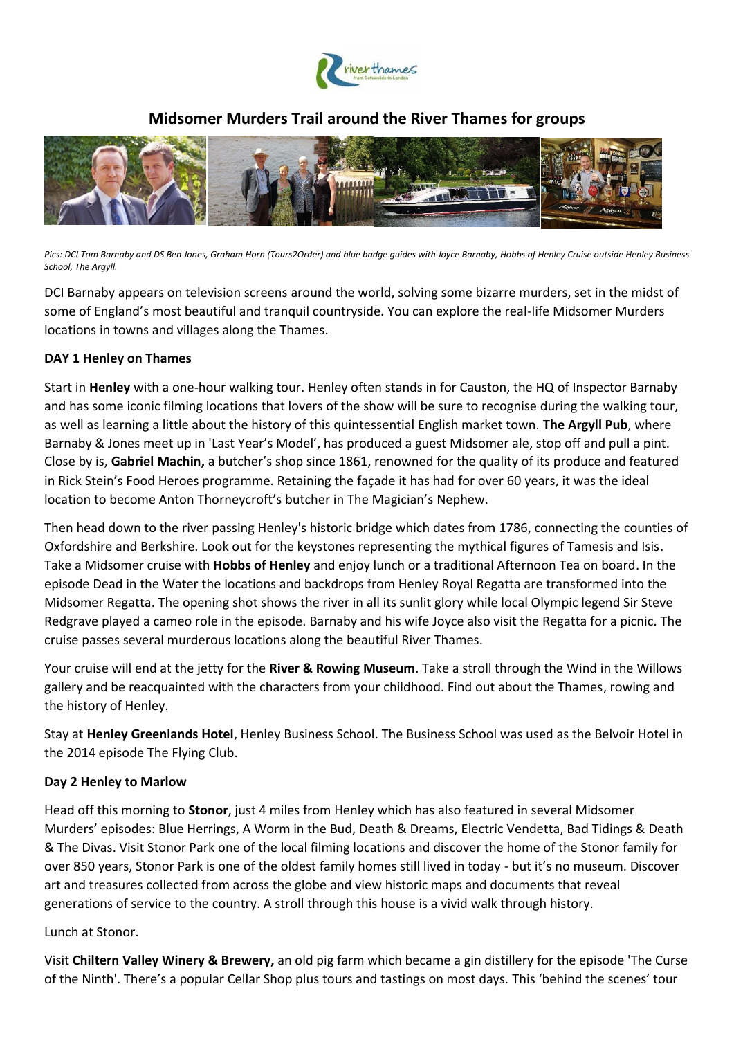

# **Midsomer Murders Trail around the River Thames for groups**



*Pics: DCI Tom Barnaby and DS Ben Jones, Graham Horn (Tours2Order) and blue badge guides with Joyce Barnaby, Hobbs of Henley Cruise outside Henley Business School, The Argyll.*

DCI Barnaby appears on television screens around the world, solving some bizarre murders, set in the midst of some of England's most beautiful and tranquil countryside. You can explore the real-life Midsomer Murders locations in towns and villages along the Thames.

### **DAY 1 Henley on Thames**

Start in **Henley** with a one-hour walking tour. Henley often stands in for Causton, the HQ of Inspector Barnaby and has some iconic filming locations that lovers of the show will be sure to recognise during the walking tour, as well as learning a little about the history of this quintessential English market town. **The Argyll Pub**, where Barnaby & Jones meet up in 'Last Year's Model', has produced a guest Midsomer ale, stop off and pull a pint. Close by is, **Gabriel Machin,** a butcher's shop since 1861, renowned for the quality of its produce and featured in Rick Stein's Food Heroes programme. Retaining the façade it has had for over 60 years, it was the ideal location to become Anton Thorneycroft's butcher in The Magician's Nephew.

Then head down to the river passing Henley's historic bridge which dates from 1786, connecting the counties of Oxfordshire and Berkshire. Look out for the keystones representing the mythical figures of Tamesis and Isis. Take a Midsomer cruise with **Hobbs of Henley** and enjoy lunch or a traditional Afternoon Tea on board. In the episode Dead in the Water the locations and backdrops from Henley Royal Regatta are transformed into the Midsomer Regatta. The opening shot shows the river in all its sunlit glory while local Olympic legend Sir Steve Redgrave played a cameo role in the episode. Barnaby and his wife Joyce also visit the Regatta for a picnic. The cruise passes several murderous locations along the beautiful River Thames.

Your cruise will end at the jetty for the **River & Rowing Museum**. Take a stroll through the Wind in the Willows gallery and be reacquainted with the characters from your childhood. Find out about the Thames, rowing and the history of Henley.

Stay at **Henley Greenlands Hotel**, Henley Business School. The Business School was used as the Belvoir Hotel in the 2014 episode The Flying Club.

### **Day 2 Henley to Marlow**

Head off this morning to **Stonor**, just 4 miles from Henley which has also featured in several Midsomer Murders' episodes: Blue Herrings, A Worm in the Bud, Death & Dreams, Electric Vendetta, Bad Tidings & Death & The Divas. Visit Stonor Park one of the local filming locations and discover the home of the Stonor family for over 850 years, Stonor Park is one of the oldest family homes still lived in today - but it's no museum. Discover art and treasures collected from across the globe and view historic maps and documents that reveal generations of service to the country. A stroll through this house is a vivid walk through history.

#### Lunch at Stonor.

Visit **Chiltern Valley Winery & Brewery,** an old pig farm which became a gin distillery for the episode 'The Curse of the Ninth'. There's a popular Cellar Shop plus tours and tastings on most days. This 'behind the scenes' tour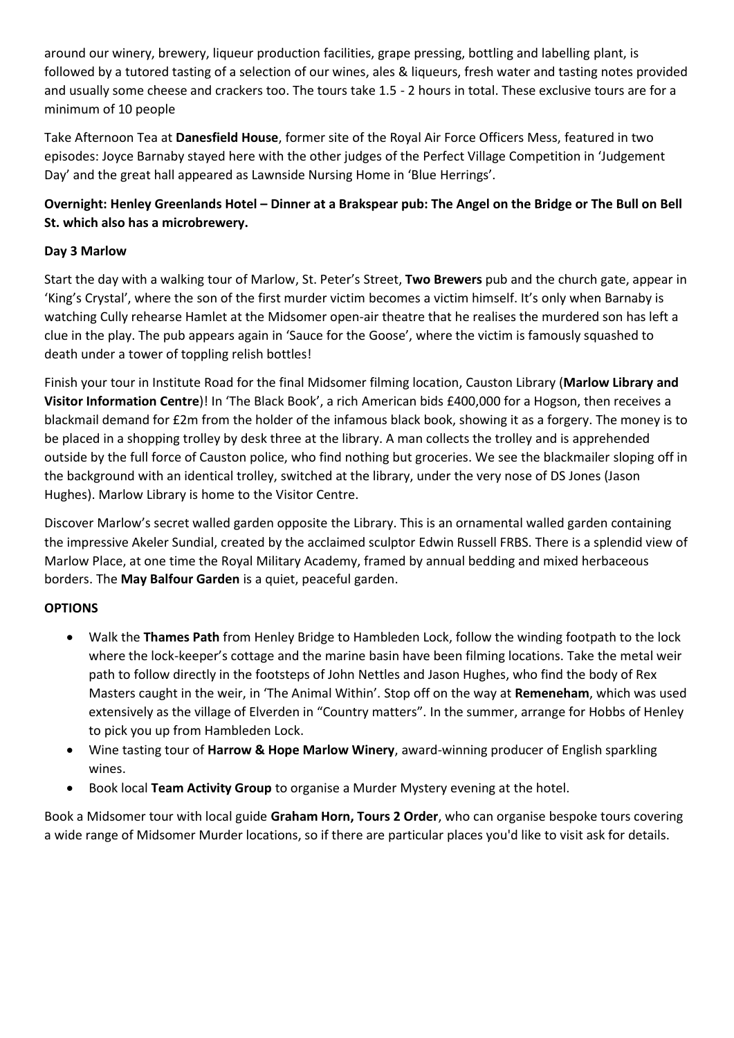around our winery, brewery, liqueur production facilities, grape pressing, bottling and labelling plant, is followed by a tutored tasting of a selection of our wines, ales & liqueurs, fresh water and tasting notes provided and usually some cheese and crackers too. The tours take 1.5 - 2 hours in total. These exclusive tours are for a minimum of 10 people

Take Afternoon Tea at **Danesfield House**, former site of the Royal Air Force Officers Mess, featured in two episodes: Joyce Barnaby stayed here with the other judges of the Perfect Village Competition in 'Judgement Day' and the great hall appeared as Lawnside Nursing Home in 'Blue Herrings'.

# **Overnight: Henley Greenlands Hotel – Dinner at a Brakspear pub: The Angel on the Bridge or The Bull on Bell St. which also has a microbrewery.**

## **Day 3 Marlow**

Start the day with a walking tour of Marlow, St. Peter's Street, **Two Brewers** pub and the church gate, appear in 'King's Crystal', where the son of the first murder victim becomes a victim himself. It's only when Barnaby is watching Cully rehearse Hamlet at the Midsomer open-air theatre that he realises the murdered son has left a clue in the play. The pub appears again in 'Sauce for the Goose', where the victim is famously squashed to death under a tower of toppling relish bottles!

Finish your tour in Institute Road for the final Midsomer filming location, Causton Library (**Marlow Library and Visitor Information Centre**)! In 'The Black Book', a rich American bids £400,000 for a Hogson, then receives a blackmail demand for £2m from the holder of the infamous black book, showing it as a forgery. The money is to be placed in a shopping trolley by desk three at the library. A man collects the trolley and is apprehended outside by the full force of Causton police, who find nothing but groceries. We see the blackmailer sloping off in the background with an identical trolley, switched at the library, under the very nose of DS Jones (Jason Hughes). Marlow Library is home to the Visitor Centre.

Discover Marlow's secret walled garden opposite the Library. This is an ornamental walled garden containing the impressive Akeler Sundial, created by the acclaimed sculptor Edwin Russell FRBS. There is a splendid view of Marlow Place, at one time the Royal Military Academy, framed by annual bedding and mixed herbaceous borders. The **May Balfour Garden** is a quiet, peaceful garden.

## **OPTIONS**

- Walk the **Thames Path** from Henley Bridge to Hambleden Lock, follow the winding footpath to the lock where the lock-keeper's cottage and the marine basin have been filming locations. Take the metal weir path to follow directly in the footsteps of John Nettles and Jason Hughes, who find the body of Rex Masters caught in the weir, in 'The Animal Within'. Stop off on the way at **Remeneham**, which was used extensively as the village of Elverden in "Country matters". In the summer, arrange for Hobbs of Henley to pick you up from Hambleden Lock.
- Wine tasting tour of **Harrow & Hope Marlow Winery**, award-winning producer of English sparkling wines.
- Book local **Team Activity Group** to organise a Murder Mystery evening at the hotel.

Book a Midsomer tour with local guide **Graham Horn, Tours 2 Order**, who can organise bespoke tours covering a wide range of Midsomer Murder locations, so if there are particular places you'd like to visit ask for details.